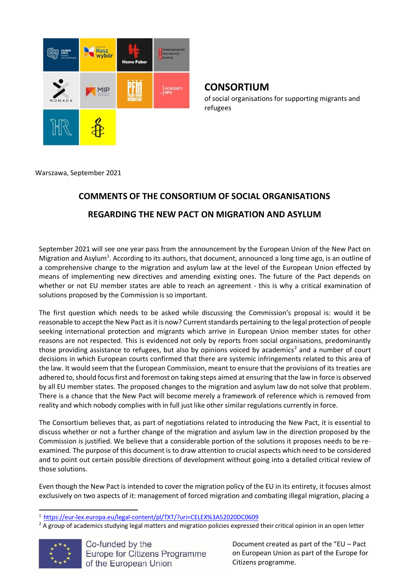

# **CONSORTIUM**

of social organisations for supporting migrants and refugees

Warszawa, September 2021

# **COMMENTS OF THE CONSORTIUM OF SOCIAL ORGANISATIONS REGARDING THE NEW PACT ON MIGRATION AND ASYLUM**

September 2021 will see one year pass from the announcement by the European Union of the New Pact on Migration and Asylum<sup>1</sup>. According to its authors, that document, announced a long time ago, is an outline of a comprehensive change to the migration and asylum law at the level of the European Union effected by means of implementing new directives and amending existing ones. The future of the Pact depends on whether or not EU member states are able to reach an agreement - this is why a critical examination of solutions proposed by the Commission is so important.

The first question which needs to be asked while discussing the Commission's proposal is: would it be reasonable to accept the New Pact as it is now? Current standards pertaining to the legal protection of people seeking international protection and migrants which arrive in European Union member states for other reasons are not respected. This is evidenced not only by reports from social organisations, predominantly those providing assistance to refugees, but also by opinions voiced by academics<sup>2</sup> and a number of court decisions in which European courts confirmed that there are systemic infringements related to this area of the law. It would seem that the European Commission, meant to ensure that the provisions of its treaties are adhered to, should focus first and foremost on taking steps aimed at ensuring that the law in force is observed by all EU member states. The proposed changes to the migration and asylum law do not solve that problem. There is a chance that the New Pact will become merely a framework of reference which is removed from reality and which nobody complies with in full just like other similar regulations currently in force.

The Consortium believes that, as part of negotiations related to introducing the New Pact, it is essential to discuss whether or not a further change of the migration and asylum law in the direction proposed by the Commission is justified. We believe that a considerable portion of the solutions it proposes needs to be reexamined. The purpose of this document is to draw attention to crucial aspects which need to be considered and to point out certain possible directions of development without going into a detailed critical review of those solutions.

Even though the New Pact is intended to cover the migration policy of the EU in its entirety, it focuses almost exclusively on two aspects of it: management of forced migration and combating illegal migration, placing a

 $2A$  group of academics studying legal matters and migration policies expressed their critical opinion in an open letter



<sup>1</sup> <https://eur-lex.europa.eu/legal-content/pl/TXT/?uri=CELEX%3A52020DC0609>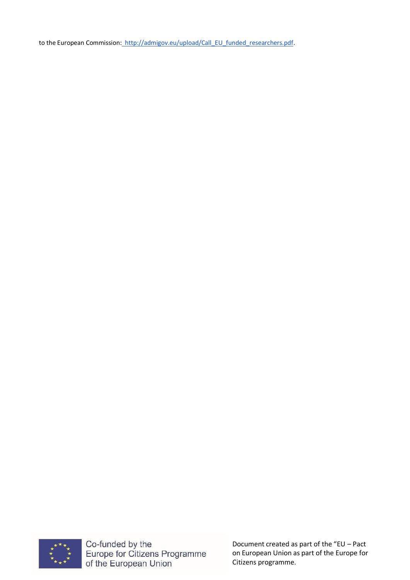to the European Commission: [http://admigov.eu/upload/Call\\_EU\\_funded\\_researchers.pdf.](http://admigov.eu/upload/Call_EU_funded_researchers.pdf)



Co-funded by the<br>Europe for Citizens Programme<br>of the European Union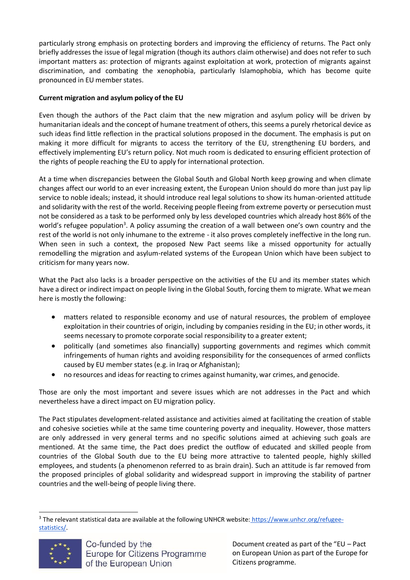particularly strong emphasis on protecting borders and improving the efficiency of returns. The Pact only briefly addresses the issue of legal migration (though its authors claim otherwise) and does not refer to such important matters as: protection of migrants against exploitation at work, protection of migrants against discrimination, and combating the xenophobia, particularly Islamophobia, which has become quite pronounced in EU member states.

# **Current migration and asylum policy of the EU**

Even though the authors of the Pact claim that the new migration and asylum policy will be driven by humanitarian ideals and the concept of humane treatment of others, this seems a purely rhetorical device as such ideas find little reflection in the practical solutions proposed in the document. The emphasis is put on making it more difficult for migrants to access the territory of the EU, strengthening EU borders, and effectively implementing EU's return policy. Not much room is dedicated to ensuring efficient protection of the rights of people reaching the EU to apply for international protection.

At a time when discrepancies between the Global South and Global North keep growing and when climate changes affect our world to an ever increasing extent, the European Union should do more than just pay lip service to noble ideals; instead, it should introduce real legal solutions to show its human-oriented attitude and solidarity with the rest of the world. Receiving people fleeing from extreme poverty or persecution must not be considered as a task to be performed only by less developed countries which already host 86% of the world's refugee population<sup>3</sup>. A policy assuming the creation of a wall between one's own country and the rest of the world is not only inhumane to the extreme - it also proves completely ineffective in the long run. When seen in such a context, the proposed New Pact seems like a missed opportunity for actually remodelling the migration and asylum-related systems of the European Union which have been subject to criticism for many years now.

What the Pact also lacks is a broader perspective on the activities of the EU and its member states which have a direct or indirect impact on people living in the Global South, forcing them to migrate. What we mean here is mostly the following:

- matters related to responsible economy and use of natural resources, the problem of employee exploitation in their countries of origin, including by companies residing in the EU; in other words, it seems necessary to promote corporate social responsibility to a greater extent;
- politically (and sometimes also financially) supporting governments and regimes which commit infringements of human rights and avoiding responsibility for the consequences of armed conflicts caused by EU member states (e.g. in Iraq or Afghanistan);
- no resources and ideas for reacting to crimes against humanity, war crimes, and genocide.

Those are only the most important and severe issues which are not addresses in the Pact and which nevertheless have a direct impact on EU migration policy.

The Pact stipulates development-related assistance and activities aimed at facilitating the creation of stable and cohesive societies while at the same time countering poverty and inequality. However, those matters are only addressed in very general terms and no specific solutions aimed at achieving such goals are mentioned. At the same time, the Pact does predict the outflow of educated and skilled people from countries of the Global South due to the EU being more attractive to talented people, highly skilled employees, and students (a phenomenon referred to as brain drain). Such an attitude is far removed from the proposed principles of global solidarity and widespread support in improving the stability of partner countries and the well-being of people living there.

<sup>&</sup>lt;sup>3</sup> The relevant statistical data are available at the following UNHCR website: [https://www.unhcr.org/refugee](https://www.unhcr.org/refugee-statistics/)[statistics/.](https://www.unhcr.org/refugee-statistics/)

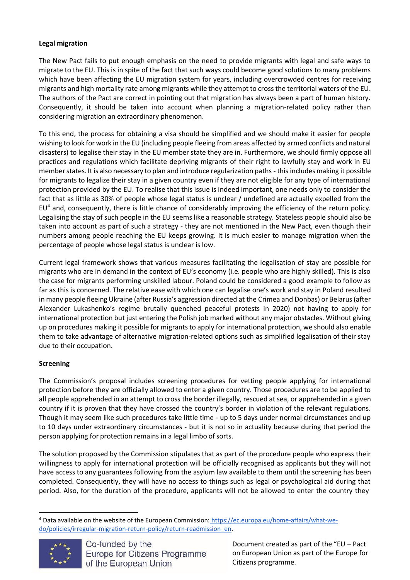# **Legal migration**

The New Pact fails to put enough emphasis on the need to provide migrants with legal and safe ways to migrate to the EU. This is in spite of the fact that such ways could become good solutions to many problems which have been affecting the EU migration system for years, including overcrowded centres for receiving migrants and high mortality rate among migrants while they attempt to cross the territorial waters of the EU. The authors of the Pact are correct in pointing out that migration has always been a part of human history. Consequently, it should be taken into account when planning a migration-related policy rather than considering migration an extraordinary phenomenon.

To this end, the process for obtaining a visa should be simplified and we should make it easier for people wishing to look for work in the EU (including people fleeing from areas affected by armed conflicts and natural disasters) to legalise their stay in the EU member state they are in. Furthermore, we should firmly oppose all practices and regulations which facilitate depriving migrants of their right to lawfully stay and work in EU member states. It is also necessary to plan and introduce regularization paths - this includes making it possible for migrants to legalize their stay in a given country even if they are not eligible for any type of international protection provided by the EU. To realise that this issue is indeed important, one needs only to consider the fact that as little as 30% of people whose legal status is unclear / undefined are actually expelled from the EU<sup>4</sup> and, consequently, there is little chance of considerably improving the efficiency of the return policy. Legalising the stay of such people in the EU seems like a reasonable strategy. Stateless people should also be taken into account as part of such a strategy - they are not mentioned in the New Pact, even though their numbers among people reaching the EU keeps growing. It is much easier to manage migration when the percentage of people whose legal status is unclear is low.

Current legal framework shows that various measures facilitating the legalisation of stay are possible for migrants who are in demand in the context of EU's economy (i.e. people who are highly skilled). This is also the case for migrants performing unskilled labour. Poland could be considered a good example to follow as far as this is concerned. The relative ease with which one can legalise one's work and stay in Poland resulted in many people fleeing Ukraine (after Russia's aggression directed at the Crimea and Donbas) or Belarus(after Alexander Lukashenko's regime brutally quenched peaceful protests in 2020) not having to apply for international protection but just entering the Polish job marked without any major obstacles. Without giving up on procedures making it possible for migrants to apply for international protection, we should also enable them to take advantage of alternative migration-related options such as simplified legalisation of their stay due to their occupation.

# **Screening**

The Commission's proposal includes screening procedures for vetting people applying for international protection before they are officially allowed to enter a given country. Those procedures are to be applied to all people apprehended in an attempt to cross the border illegally, rescued atsea, or apprehended in a given country if it is proven that they have crossed the country's border in violation of the relevant regulations. Though it may seem like such procedures take little time - up to 5 days under normal circumstances and up to 10 days under extraordinary circumstances - but it is not so in actuality because during that period the person applying for protection remains in a legal limbo of sorts.

The solution proposed by the Commission stipulates that as part of the procedure people who express their willingness to apply for international protection will be officially recognised as applicants but they will not have access to any guarantees following from the asylum law available to them until the screening has been completed. Consequently, they will have no access to things such as legal or psychological aid during that period. Also, for the duration of the procedure, applicants will not be allowed to enter the country they

<sup>4</sup> Data available on the website of the European Commission: [https://ec.europa.eu/home-affairs/what-we](https://ec.europa.eu/home-affairs/what-we-do/policies/irregular-migration-return-policy/return-readmission_en)[do/policies/irregular-migration-return-policy/return-readmission\\_en.](https://ec.europa.eu/home-affairs/what-we-do/policies/irregular-migration-return-policy/return-readmission_en)

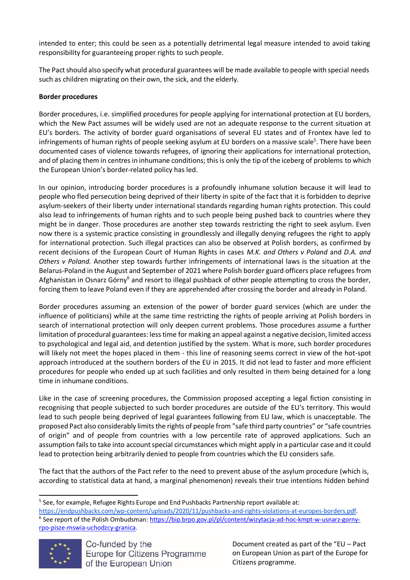intended to enter; this could be seen as a potentially detrimental legal measure intended to avoid taking responsibility for guaranteeing proper rights to such people.

The Pact should also specify what procedural guarantees will be made available to people with special needs such as children migrating on their own, the sick, and the elderly.

# **Border procedures**

Border procedures, i.e. simplified procedures for people applying for international protection at EU borders, which the New Pact assumes will be widely used are not an adequate response to the current situation at EU's borders. The activity of border guard organisations of several EU states and of Frontex have led to infringements of human rights of people seeking asylum at EU borders on a massive scale<sup>5</sup>. There have been documented cases of violence towards refugees, of ignoring their applications for international protection, and of placing them in centresin inhumane conditions; this is only the tip of the iceberg of problems to which the European Union's border-related policy has led.

In our opinion, introducing border procedures is a profoundly inhumane solution because it will lead to people who fled persecution being deprived of their liberty in spite of the fact that it is forbidden to deprive asylum-seekers of their liberty under international standards regarding human rights protection. This could also lead to infringements of human rights and to such people being pushed back to countries where they might be in danger. Those procedures are another step towards restricting the right to seek asylum. Even now there is a systemic practice consisting in groundlessly and illegally denying refugees the right to apply for international protection. Such illegal practices can also be observed at Polish borders, as confirmed by recent decisions of the European Court of Human Rights in cases *M.K. and Others v Poland* and *D.A. and Others v Poland.* Another step towards further infringements of international laws is the situation at the Belarus-Poland in the August and September of 2021 where Polish border guard officers place refugees from Afghanistan in Osnarz Górny<sup>6</sup> and resort to illegal pushback of other people attempting to cross the border, forcing them to leave Poland even if they are apprehended after crossing the border and already in Poland.

Border procedures assuming an extension of the power of border guard services (which are under the influence of politicians) while at the same time restricting the rights of people arriving at Polish borders in search of international protection will only deepen current problems. Those procedures assume a further limitation of procedural guarantees: lesstime for making an appeal against a negative decision, limited access to psychological and legal aid, and detention justified by the system. What is more, such border procedures will likely not meet the hopes placed in them - this line of reasoning seems correct in view of the hot-spot approach introduced at the southern borders of the EU in 2015. It did not lead to faster and more efficient procedures for people who ended up at such facilities and only resulted in them being detained for a long time in inhumane conditions.

Like in the case of screening procedures, the Commission proposed accepting a legal fiction consisting in recognising that people subjected to such border procedures are outside of the EU's territory. This would lead to such people being deprived of legal guarantees following from EU law, which is unacceptable. The proposed Pact also considerably limitsthe rights of people from "safe third party countries" or "safe countries of origin" and of people from countries with a low percentile rate of approved applications. Such an assumption fails to take into account special circumstances which might apply in a particular case and it could lead to protection being arbitrarily denied to people from countries which the EU considers safe.

The fact that the authors of the Pact refer to the need to prevent abuse of the asylum procedure (which is, according to statistical data at hand, a marginal phenomenon) reveals their true intentions hidden behind

[https://endpushbacks.com/wp-content/uploads/2020/11/pushbacks-and-rights-violations-at-europes-borders.pdf.](https://endpushbacks.com/wp-content/uploads/2020/11/pushbacks-and-rights-violations-at-europes-borders.pdf) <sup>6</sup> See report of the Polish Ombudsman[: https://bip.brpo.gov.pl/pl/content/wizytacja-ad-hoc-kmpt-w-usnarz-gorny](https://bip.brpo.gov.pl/pl/content/wizytacja-ad-hoc-kmpt-w-usnarz-gorny-rpo-pisze-mswia-uchodzcy-granica)[rpo-pisze-mswia-uchodzcy-granica.](https://bip.brpo.gov.pl/pl/content/wizytacja-ad-hoc-kmpt-w-usnarz-gorny-rpo-pisze-mswia-uchodzcy-granica)



<sup>&</sup>lt;sup>5</sup> See, for example, Refugee Rights Europe and End Pushbacks Partnership report available at: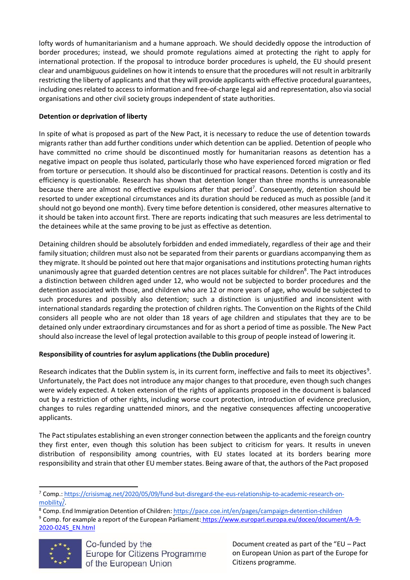lofty words of humanitarianism and a humane approach. We should decidedly oppose the introduction of border procedures; instead, we should promote regulations aimed at protecting the right to apply for international protection. If the proposal to introduce border procedures is upheld, the EU should present clear and unambiguous guidelines on how it intends to ensure that the procedures will not result in arbitrarily restricting the liberty of applicants and that they will provide applicants with effective procedural guarantees, including onesrelated to accessto information and free-of-charge legal aid and representation, also via social organisations and other civil society groups independent of state authorities.

# **Detention or deprivation of liberty**

In spite of what is proposed as part of the New Pact, it is necessary to reduce the use of detention towards migrants rather than add further conditions under which detention can be applied. Detention of people who have committed no crime should be discontinued mostly for humanitarian reasons as detention has a negative impact on people thus isolated, particularly those who have experienced forced migration or fled from torture or persecution. It should also be discontinued for practical reasons. Detention is costly and its efficiency is questionable. Research has shown that detention longer than three months is unreasonable because there are almost no effective expulsions after that period<sup>7</sup>. Consequently, detention should be resorted to under exceptional circumstances and its duration should be reduced as much as possible (and it should not go beyond one month). Every time before detention is considered, other measures alternative to it should be taken into account first. There are reports indicating that such measures are less detrimental to the detainees while at the same proving to be just as effective as detention.

Detaining children should be absolutely forbidden and ended immediately, regardless of their age and their family situation; children must also not be separated from their parents or guardians accompanying them as they migrate. Itshould be pointed out here that major organisations and institutions protecting human rights unanimously agree that guarded detention centres are not places suitable for children<sup>8</sup>. The Pact introduces a distinction between children aged under 12, who would not be subjected to border procedures and the detention associated with those, and children who are 12 or more years of age, who would be subjected to such procedures and possibly also detention; such a distinction is unjustified and inconsistent with international standards regarding the protection of children rights. The Convention on the Rights of the Child considers all people who are not older than 18 years of age children and stipulates that they are to be detained only under extraordinary circumstances and for as short a period of time as possible. The New Pact should also increase the level of legal protection available to this group of people instead of lowering it.

# **Responsibility of countriesfor asylum applications(the Dublin procedure)**

Research indicates that the Dublin system is, in its current form, ineffective and fails to meet its objectives<sup>9</sup>. Unfortunately, the Pact does not introduce any major changes to that procedure, even though such changes were widely expected. A token extension of the rights of applicants proposed in the document is balanced out by a restriction of other rights, including worse court protection, introduction of evidence preclusion, changes to rules regarding unattended minors, and the negative consequences affecting uncooperative applicants.

The Pact stipulates establishing an even stronger connection between the applicants and the foreign country they first enter, even though this solution has been subject to criticism for years. It results in uneven distribution of responsibility among countries, with EU states located at its borders bearing more responsibility and strain that other EU member states. Being aware of that, the authors of the Pact proposed

<sup>&</sup>lt;sup>9</sup> Comp. for example a report of the European Parliament: [https://www.europarl.europa.eu/doceo/document/A-9-](https://www.europarl.europa.eu/doceo/document/A-9-2020-0245_EN.html) [2020-0245\\_EN.html](https://www.europarl.europa.eu/doceo/document/A-9-2020-0245_EN.html)



<sup>7</sup> Comp[.: https://crisismag.net/2020/05/09/fund-but-disregard-the-eus-relationship-to-academic-research-on](https://crisismag.net/2020/05/09/fund-but-disregard-the-eus-relationship-to-academic-research-on-mobility/)[mobility/.](https://crisismag.net/2020/05/09/fund-but-disregard-the-eus-relationship-to-academic-research-on-mobility/)

<sup>&</sup>lt;sup>8</sup> Comp. End Immigration Detention of Children: <https://pace.coe.int/en/pages/campaign-detention-children>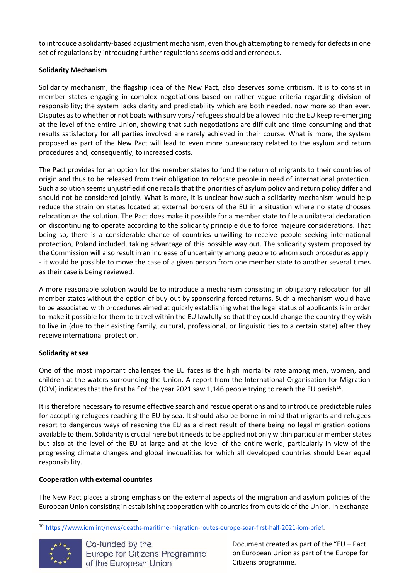to introduce a solidarity-based adjustment mechanism, even though attempting to remedy for defects in one set of regulations by introducing further regulations seems odd and erroneous.

# **Solidarity Mechanism**

Solidarity mechanism, the flagship idea of the New Pact, also deserves some criticism. It is to consist in member states engaging in complex negotiations based on rather vague criteria regarding division of responsibility; the system lacks clarity and predictability which are both needed, now more so than ever. Disputes as to whether or not boats with survivors / refugees should be allowed into the EU keep re-emerging at the level of the entire Union, showing that such negotiations are difficult and time-consuming and that results satisfactory for all parties involved are rarely achieved in their course. What is more, the system proposed as part of the New Pact will lead to even more bureaucracy related to the asylum and return procedures and, consequently, to increased costs.

The Pact provides for an option for the member states to fund the return of migrants to their countries of origin and thus to be released from their obligation to relocate people in need of international protection. Such a solution seems unjustified if one recalls that the priorities of asylum policy and return policy differ and should not be considered jointly. What is more, it is unclear how such a solidarity mechanism would help reduce the strain on states located at external borders of the EU in a situation where no state chooses relocation as the solution. The Pact does make it possible for a member state to file a unilateral declaration on discontinuing to operate according to the solidarity principle due to force majeure considerations. That being so, there is a considerable chance of countries unwilling to receive people seeking international protection, Poland included, taking advantage of this possible way out. The solidarity system proposed by the Commission will also resultin an increase of uncertainty among people to whom such procedures apply - it would be possible to move the case of a given person from one member state to another several times as their case is being reviewed.

A more reasonable solution would be to introduce a mechanism consisting in obligatory relocation for all member states without the option of buy-out by sponsoring forced returns. Such a mechanism would have to be associated with procedures aimed at quickly establishing what the legal status of applicants is in order to make it possible for them to travel within the EU lawfully so that they could change the country they wish to live in (due to their existing family, cultural, professional, or linguistic ties to a certain state) after they receive international protection.

### **Solidarity atsea**

One of the most important challenges the EU faces is the high mortality rate among men, women, and children at the waters surrounding the Union. A report from the International Organisation for Migration (IOM) indicates that the first half of the year 2021 saw 1,146 people trying to reach the EU perish<sup>10</sup>.

It is therefore necessary to resume effective search and rescue operations and to introduce predictable rules for accepting refugees reaching the EU by sea. It should also be borne in mind that migrants and refugees resort to dangerous ways of reaching the EU as a direct result of there being no legal migration options available to them. Solidarity is crucial here but it needs to be applied not only within particular member states but also at the level of the EU at large and at the level of the entire world, particularly in view of the progressing climate changes and global inequalities for which all developed countries should bear equal responsibility.

### **Cooperation with external countries**

The New Pact places a strong emphasis on the external aspects of the migration and asylum policies of the EuropeanUnion consisting in establishing cooperation with countriesfrom outside of the Union. In exchange

<sup>10</sup> [https://www.iom.int/news/deaths-maritime-migration-routes-europe-soar-first-half-2021-iom-brief.](https://www.iom.int/news/deaths-maritime-migration-routes-europe-soar-first-half-2021-iom-brief)

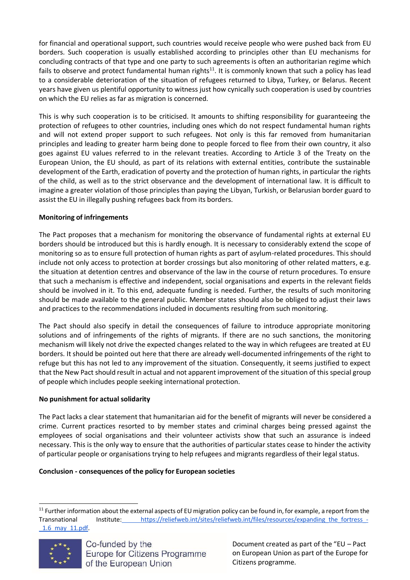for financial and operational support, such countries would receive people who were pushed back from EU borders. Such cooperation is usually established according to principles other than EU mechanisms for concluding contracts of that type and one party to such agreements is often an authoritarian regime which fails to observe and protect fundamental human rights<sup>11</sup>. It is commonly known that such a policy has lead to a considerable deterioration of the situation of refugees returned to Libya, Turkey, or Belarus. Recent years have given us plentiful opportunity to witness just how cynically such cooperation is used by countries on which the EU relies as far as migration is concerned.

This is why such cooperation is to be criticised. It amounts to shifting responsibility for guaranteeing the protection of refugees to other countries, including ones which do not respect fundamental human rights and will not extend proper support to such refugees. Not only is this far removed from humanitarian principles and leading to greater harm being done to people forced to flee from their own country, it also goes against EU values referred to in the relevant treaties. According to Article 3 of the Treaty on the European Union, the EU should, as part of its relations with external entities, contribute the sustainable development of the Earth, eradication of poverty and the protection of human rights, in particular the rights of the child, as well as to the strict observance and the development of international law. It is difficult to imagine a greater violation of those principles than paying the Libyan, Turkish, or Belarusian border guard to assist the EU in illegally pushing refugees back from its borders.

# **Monitoring of infringements**

The Pact proposes that a mechanism for monitoring the observance of fundamental rights at external EU borders should be introduced but this is hardly enough. It is necessary to considerably extend the scope of monitoring so as to ensure full protection of human rights as part of asylum-related procedures. This should include not only access to protection at border crossings but also monitoring of other related matters, e.g. the situation at detention centres and observance of the law in the course of return procedures. To ensure that such a mechanism is effective and independent, social organisations and experts in the relevant fields should be involved in it. To this end, adequate funding is needed. Further, the results of such monitoring should be made available to the general public. Member states should also be obliged to adjust their laws and practices to the recommendations included in documents resulting from such monitoring.

The Pact should also specify in detail the consequences of failure to introduce appropriate monitoring solutions and of infringements of the rights of migrants. If there are no such sanctions, the monitoring mechanism will likely not drive the expected changes related to the way in which refugees are treated at EU borders. It should be pointed out here that there are already well-documented infringements of the right to refuge but this has not led to any improvement of the situation. Consequently, it seems justified to expect that the New Pact should resultin actual and not apparent improvement of the situation of this special group of people which includes people seeking international protection.

### **No punishment for actual solidarity**

The Pact lacks a clear statement that humanitarian aid for the benefit of migrants will never be considered a crime. Current practices resorted to by member states and criminal charges being pressed against the employees of social organisations and their volunteer activists show that such an assurance is indeed necessary. This is the only way to ensure that the authorities of particular states cease to hinder the activity of particular people or organisations trying to help refugees and migrants regardless of their legal status.

### **Conclusion - consequences of the policy for European societies**

<sup>&</sup>lt;sup>11</sup> Further information about the external aspects of EU migration policy can be found in, for example, a report from the Transnational Institute: [https://reliefweb.int/sites/reliefweb.int/files/resources/expanding\\_the\\_fortress\\_-](https://reliefweb.int/sites/reliefweb.int/files/resources/expanding_the_fortress_-_1.6_may_11.pdf) [\\_1.6\\_may\\_11.pdf.](https://reliefweb.int/sites/reliefweb.int/files/resources/expanding_the_fortress_-_1.6_may_11.pdf)